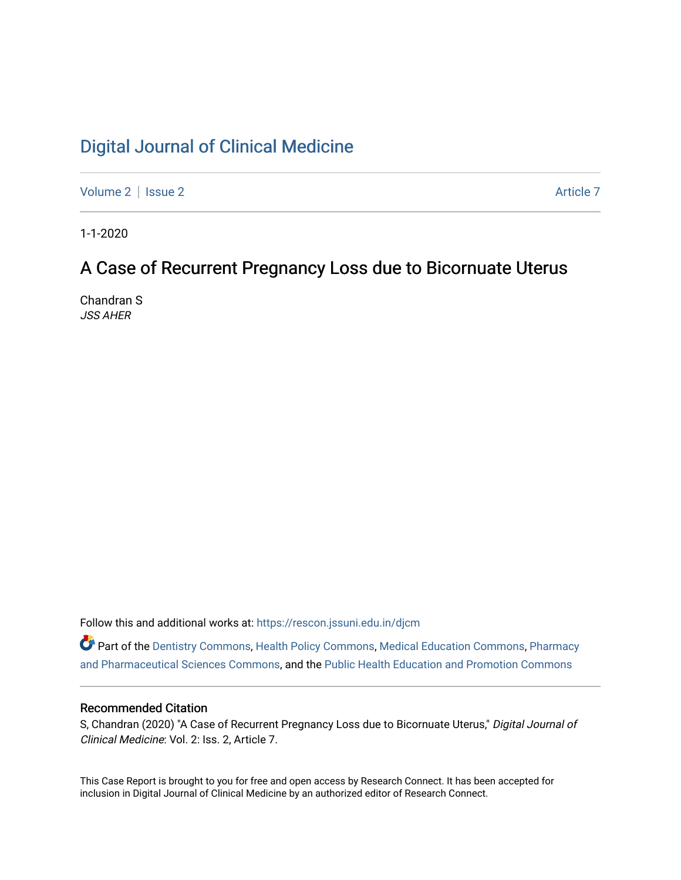# [Digital Journal of Clinical Medicine](https://rescon.jssuni.edu.in/djcm)

[Volume 2](https://rescon.jssuni.edu.in/djcm/vol2) | [Issue 2](https://rescon.jssuni.edu.in/djcm/vol2/iss2) Article 7

1-1-2020

# A Case of Recurrent Pregnancy Loss due to Bicornuate Uterus

Chandran S JSS AHER

Follow this and additional works at: [https://rescon.jssuni.edu.in/djcm](https://rescon.jssuni.edu.in/djcm?utm_source=rescon.jssuni.edu.in%2Fdjcm%2Fvol2%2Fiss2%2F7&utm_medium=PDF&utm_campaign=PDFCoverPages) 

Part of the [Dentistry Commons,](http://network.bepress.com/hgg/discipline/651?utm_source=rescon.jssuni.edu.in%2Fdjcm%2Fvol2%2Fiss2%2F7&utm_medium=PDF&utm_campaign=PDFCoverPages) [Health Policy Commons,](http://network.bepress.com/hgg/discipline/395?utm_source=rescon.jssuni.edu.in%2Fdjcm%2Fvol2%2Fiss2%2F7&utm_medium=PDF&utm_campaign=PDFCoverPages) [Medical Education Commons,](http://network.bepress.com/hgg/discipline/1125?utm_source=rescon.jssuni.edu.in%2Fdjcm%2Fvol2%2Fiss2%2F7&utm_medium=PDF&utm_campaign=PDFCoverPages) [Pharmacy](http://network.bepress.com/hgg/discipline/731?utm_source=rescon.jssuni.edu.in%2Fdjcm%2Fvol2%2Fiss2%2F7&utm_medium=PDF&utm_campaign=PDFCoverPages) [and Pharmaceutical Sciences Commons,](http://network.bepress.com/hgg/discipline/731?utm_source=rescon.jssuni.edu.in%2Fdjcm%2Fvol2%2Fiss2%2F7&utm_medium=PDF&utm_campaign=PDFCoverPages) and the [Public Health Education and Promotion Commons](http://network.bepress.com/hgg/discipline/743?utm_source=rescon.jssuni.edu.in%2Fdjcm%2Fvol2%2Fiss2%2F7&utm_medium=PDF&utm_campaign=PDFCoverPages) 

#### Recommended Citation

S, Chandran (2020) "A Case of Recurrent Pregnancy Loss due to Bicornuate Uterus," Digital Journal of Clinical Medicine: Vol. 2: Iss. 2, Article 7.

This Case Report is brought to you for free and open access by Research Connect. It has been accepted for inclusion in Digital Journal of Clinical Medicine by an authorized editor of Research Connect.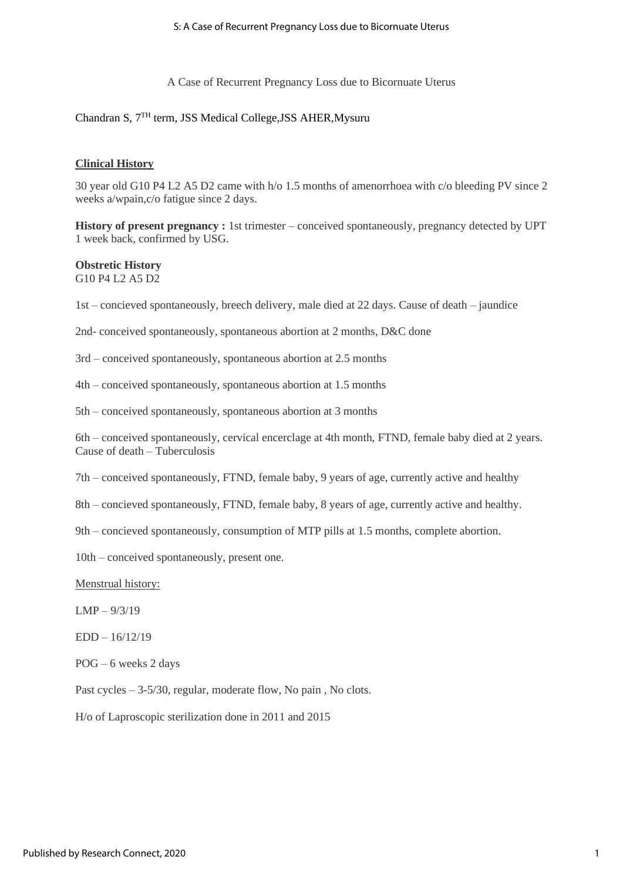A Case of Recurrent Pregnancy Loss due to Bicornuate Uterus

#### Chandran S, 7<sup>TH</sup> term, JSS Medical College, JSS AHER, Mysuru

#### **Clinical History**

30 year old G10 P4 L2 A5 D2 came with h/o 1.5 months of amenorrhoea with c/o bleeding PV since 2 weeks a/wpain,c/o fatigue since 2 days.

**History of present pregnancy:** 1st trimester – conceived spontaneously, pregnancy detected by UPT 1 week back, confirmed by USG.

# **Obstretic History**

G10 P4 L2 A5 D2

1st – concieved spontaneously, breech delivery, male died at 22 days. Cause of death – jaundice

2nd- conceived spontaneously, spontaneous abortion at 2 months, D&C done

3rd – conceived spontaneously, spontaneous abortion at 2.5 months

4th – conceived spontaneously, spontaneous abortion at 1.5 months

5th – conceived spontaneously, spontaneous abortion at 3 months

6th – conceived spontaneously, cervical encerclage at 4th month, FTND, female baby died at 2 years. Cause of death – Tuberculosis

7th – conceived spontaneously, FTND, female baby, 9 years of age, currently active and healthy

8th – concieved spontaneously, FTND, female baby, 8 years of age, currently active and healthy.

9th – concieved spontaneously, consumption of MTP pills at 1.5 months, complete abortion.

10th – conceived spontaneously, present one.

Menstrual history:

 $LMP - 9/3/19$ 

EDD – 16/12/19

POG – 6 weeks 2 days

Past cycles – 3-5/30, regular, moderate flow, No pain, No clots.

H/o of Laproscopic sterilization done in 2011 and 2015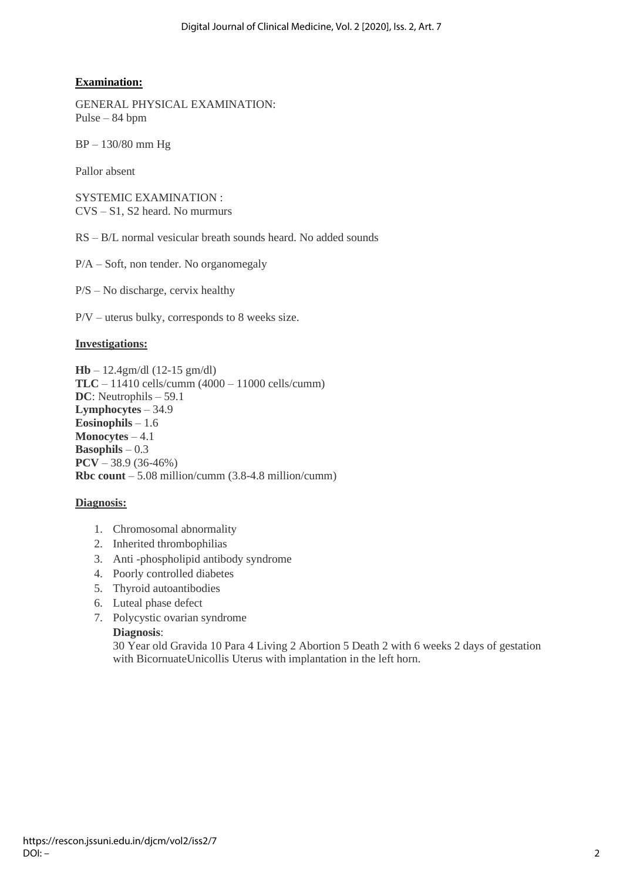### **Examination:**

GENERAL PHYSICAL EXAMINATION: Pulse – 84 bpm

BP – 130/80 mm Hg

Pallor absent

SYSTEMIC EXAMINATION : CVS – S1, S2 heard. No murmurs

RS – B/L normal vesicular breath sounds heard. No added sounds

P/A – Soft, non tender. No organomegaly

P/S – No discharge, cervix healthy

P/V – uterus bulky, corresponds to 8 weeks size.

#### **Investigations:**

**Hb** – 12.4gm/dl (12-15 gm/dl) **TLC** – 11410 cells/cumm (4000 – 11000 cells/cumm) **DC**: Neutrophils – 59.1 **Lymphocytes** – 34.9 **Eosinophils** – 1.6 **Monocytes** – 4.1 **Basophils** – 0.3 **PCV** – 38.9 (36-46%) **Rbc count** – 5.08 million/cumm (3.8-4.8 million/cumm)

#### **Diagnosis:**

- 1. Chromosomal abnormality
- 2. Inherited thrombophilias
- 3. Anti -phospholipid antibody syndrome
- 4. Poorly controlled diabetes
- 5. Thyroid autoantibodies
- 6. Luteal phase defect
- 7. Polycystic ovarian syndrome

#### **Diagnosis**:

30 Year old Gravida 10 Para 4 Living 2 Abortion 5 Death 2 with 6 weeks 2 days of gestation with BicornuateUnicollis Uterus with implantation in the left horn.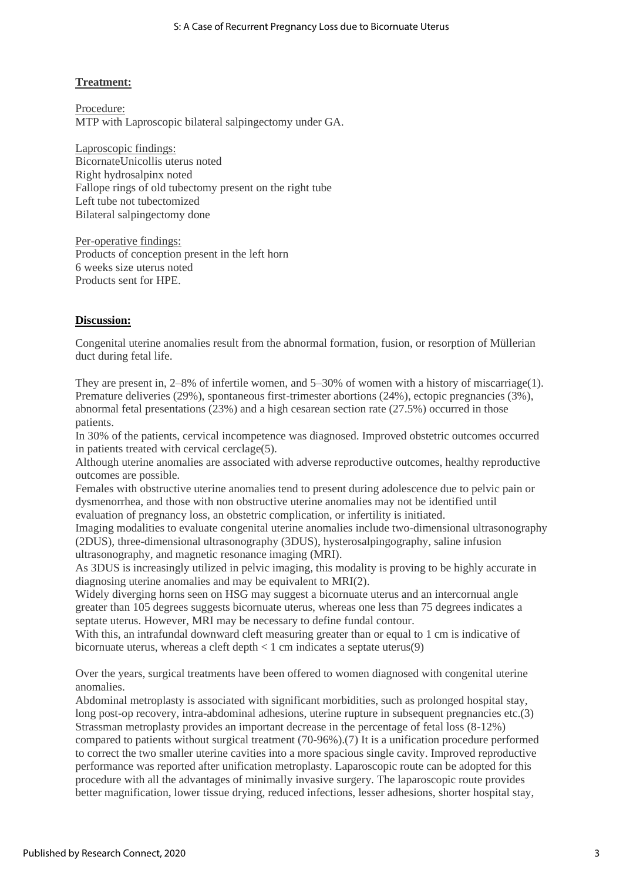#### **Treatment:**

Procedure: MTP with Laproscopic bilateral salpingectomy under GA.

Laproscopic findings: BicornateUnicollis uterus noted Right hydrosalpinx noted Fallope rings of old tubectomy present on the right tube Left tube not tubectomized Bilateral salpingectomy done

Per-operative findings: Products of conception present in the left horn 6 weeks size uterus noted Products sent for HPE.

#### **Discussion:**

Congenital uterine anomalies result from the abnormal formation, fusion, or resorption of Müllerian duct during fetal life.

They are present in, 2–8% of infertile women, and 5–30% of women with a history of miscarriage(1). Premature deliveries (29%), spontaneous first-trimester abortions (24%), ectopic pregnancies (3%), abnormal fetal presentations (23%) and a high cesarean section rate (27.5%) occurred in those patients.

In 30% of the patients, cervical incompetence was diagnosed. Improved obstetric outcomes occurred in patients treated with cervical cerclage(5).

Although uterine anomalies are associated with adverse reproductive outcomes, healthy reproductive outcomes are possible.

Females with obstructive uterine anomalies tend to present during adolescence due to pelvic pain or dysmenorrhea, and those with non obstructive uterine anomalies may not be identified until evaluation of pregnancy loss, an obstetric complication, or infertility is initiated.

Imaging modalities to evaluate congenital uterine anomalies include two-dimensional ultrasonography (2DUS), three-dimensional ultrasonography (3DUS), hysterosalpingography, saline infusion ultrasonography, and magnetic resonance imaging (MRI).

As 3DUS is increasingly utilized in pelvic imaging, this modality is proving to be highly accurate in diagnosing uterine anomalies and may be equivalent to MRI(2).

Widely diverging horns seen on HSG may suggest a bicornuate uterus and an intercornual angle greater than 105 degrees suggests bicornuate uterus, whereas one less than 75 degrees indicates a septate uterus. However, MRI may be necessary to define fundal contour.

With this, an intrafundal downward cleft measuring greater than or equal to 1 cm is indicative of bicornuate uterus, whereas a cleft depth  $\lt 1$  cm indicates a septate uterus(9)

Over the years, surgical treatments have been offered to women diagnosed with congenital uterine anomalies.

Abdominal metroplasty is associated with significant morbidities, such as prolonged hospital stay, long post-op recovery, intra-abdominal adhesions, uterine rupture in subsequent pregnancies etc.(3) Strassman metroplasty provides an important decrease in the percentage of fetal loss (8-12%) compared to patients without surgical treatment (70-96%).(7) It is a unification procedure performed to correct the two smaller uterine cavities into a more spacious single cavity. Improved reproductive performance was reported after unification metroplasty. Laparoscopic route can be adopted for this procedure with all the advantages of minimally invasive surgery. The laparoscopic route provides better magnification, lower tissue drying, reduced infections, lesser adhesions, shorter hospital stay,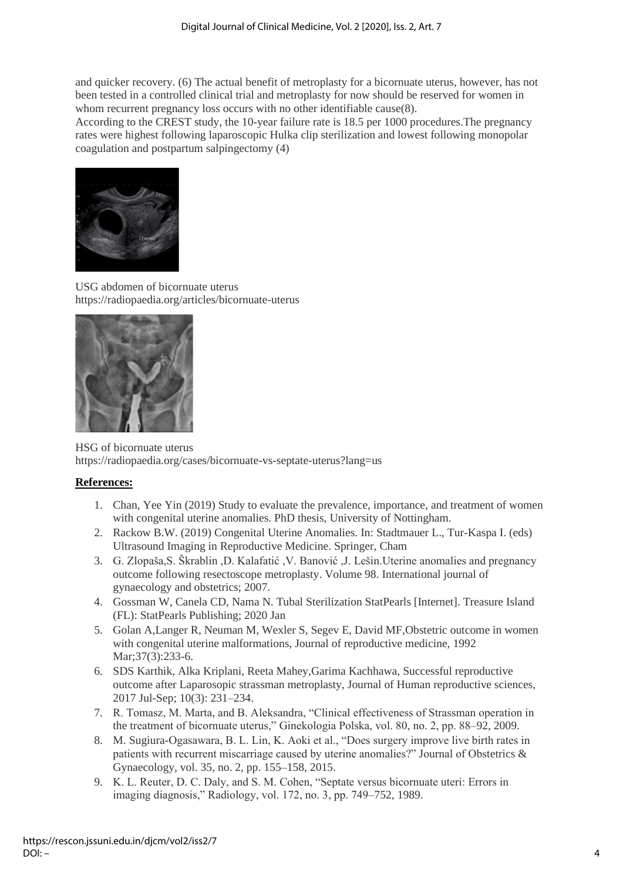and quicker recovery. (6) The actual benefit of metroplasty for a bicornuate uterus, however, has not been tested in a controlled clinical trial and metroplasty for now should be reserved for women in whom recurrent pregnancy loss occurs with no other identifiable cause(8).

According to the CREST study, the 10-year failure rate is 18.5 per 1000 procedures.The pregnancy rates were highest following laparoscopic Hulka clip sterilization and lowest following monopolar coagulation and postpartum salpingectomy (4)



USG abdomen of bicornuate uterus https://radiopaedia.org/articles/bicornuate-uterus



HSG of bicornuate uterus https://radiopaedia.org/cases/bicornuate-vs-septate-uterus?lang=us

### **References:**

- 1. Chan, Yee Yin (2019) Study to evaluate the prevalence, importance, and treatment of women with congenital uterine anomalies. PhD thesis, University of Nottingham.
- 2. Rackow B.W. (2019) Congenital Uterine Anomalies. In: Stadtmauer L., Tur-Kaspa I. (eds) Ultrasound Imaging in Reproductive Medicine. Springer, Cham
- 3. G. Zlopaša,S. Škrablin ,D. Kalafatić ,V. Banović ,J. Lešin.Uterine anomalies and pregnancy outcome following resectoscope metroplasty. Volume 98. International journal of gynaecology and obstetrics; 2007.
- 4. Gossman W, Canela CD, Nama N. Tubal Sterilization StatPearls [Internet]. Treasure Island (FL): StatPearls Publishing; 2020 Jan
- 5. Golan A,Langer R, Neuman M, Wexler S, Segev E, David MF,Obstetric outcome in women with congenital uterine malformations, Journal of reproductive medicine, 1992 Mar; 37(3): 233-6.
- 6. SDS Karthik, Alka Kriplani, Reeta Mahey,Garima Kachhawa, Successful reproductive outcome after Laparosopic strassman metroplasty, Journal of Human reproductive sciences, 2017 Jul-Sep; 10(3): 231–234.
- 7. R. Tomasz, M. Marta, and B. Aleksandra, "Clinical effectiveness of Strassman operation in the treatment of bicornuate uterus," Ginekologia Polska, vol. 80, no. 2, pp. 88–92, 2009.
- 8. M. Sugiura-Ogasawara, B. L. Lin, K. Aoki et al., "Does surgery improve live birth rates in patients with recurrent miscarriage caused by uterine anomalies?" Journal of Obstetrics & Gynaecology, vol. 35, no. 2, pp. 155–158, 2015.
- 9. K. L. Reuter, D. C. Daly, and S. M. Cohen, "Septate versus bicornuate uteri: Errors in imaging diagnosis," Radiology, vol. 172, no. 3, pp. 749–752, 1989.